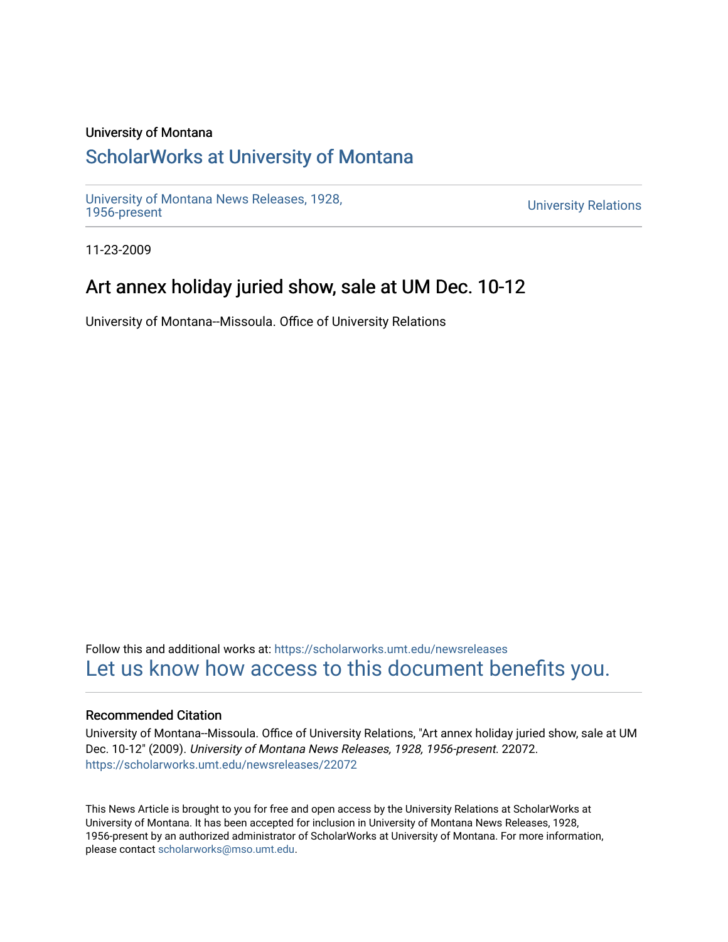#### University of Montana

## [ScholarWorks at University of Montana](https://scholarworks.umt.edu/)

[University of Montana News Releases, 1928,](https://scholarworks.umt.edu/newsreleases) 

**University Relations** 

11-23-2009

## Art annex holiday juried show, sale at UM Dec. 10-12

University of Montana--Missoula. Office of University Relations

Follow this and additional works at: [https://scholarworks.umt.edu/newsreleases](https://scholarworks.umt.edu/newsreleases?utm_source=scholarworks.umt.edu%2Fnewsreleases%2F22072&utm_medium=PDF&utm_campaign=PDFCoverPages) [Let us know how access to this document benefits you.](https://goo.gl/forms/s2rGfXOLzz71qgsB2) 

#### Recommended Citation

University of Montana--Missoula. Office of University Relations, "Art annex holiday juried show, sale at UM Dec. 10-12" (2009). University of Montana News Releases, 1928, 1956-present. 22072. [https://scholarworks.umt.edu/newsreleases/22072](https://scholarworks.umt.edu/newsreleases/22072?utm_source=scholarworks.umt.edu%2Fnewsreleases%2F22072&utm_medium=PDF&utm_campaign=PDFCoverPages) 

This News Article is brought to you for free and open access by the University Relations at ScholarWorks at University of Montana. It has been accepted for inclusion in University of Montana News Releases, 1928, 1956-present by an authorized administrator of ScholarWorks at University of Montana. For more information, please contact [scholarworks@mso.umt.edu.](mailto:scholarworks@mso.umt.edu)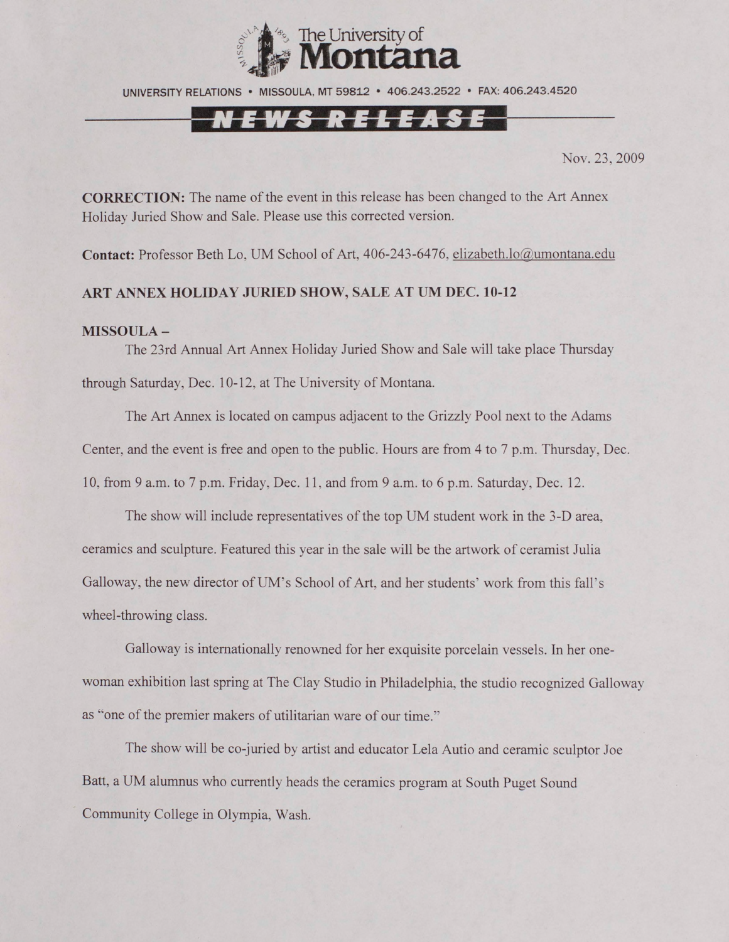

UNIVERSITY RELATIONS • MISSOULA. MT 59812 • 406.243.2522 • FAX: 406.243.4520

# NEWS RELEASE

Nov. 23, 2009

**CORRECTION:** The name of the event in this release has been changed to the Art Annex Holiday Juried Show and Sale. Please use this corrected version.

Contact: Professor Beth Lo, UM School of Art, 406-243-6476, [elizabeth.lo@umontana.edu](mailto:elizabeth.lo@umontana.edu)

### **ART ANNEX HOLIDAY JURIED SHOW, SALE AT UM DEC. 10-12**

#### **MISSOULA -**

The 23rd Annual Art Annex Holiday Juried Show and Sale will take place Thursday through Saturday, Dec. 10-12, at The University of Montana.

The Art Annex is located on campus adjacent to the Grizzly Pool next to the Adams Center, and the event is free and open to the public. Hours are from 4 to 7 p.m. Thursday, Dec. 10, from 9 a.m. to 7 p.m. Friday, Dec. 11. and from 9 a.m. to 6 p.m. Saturday, Dec. 12.

The show will include representatives of the top UM student work in the 3-D area, ceramics and sculpture. Featured this year in the sale will be the artwork of ceramist Julia Galloway, the new director of UM's School of Art. and her students' work from this fall's wheel-throwing class.

Galloway is internationally renowned for her exquisite porcelain vessels. In her onewoman exhibition last spring at The Clay Studio in Philadelphia, the studio recognized Galloway as "one of the premier makers of utilitarian ware of our time."

The show will be co-juried by artist and educator Lela Autio and ceramic sculptor Joe Batt, a UM alumnus who currently heads the ceramics program at South Puget Sound Community College in Olympia, Wash.